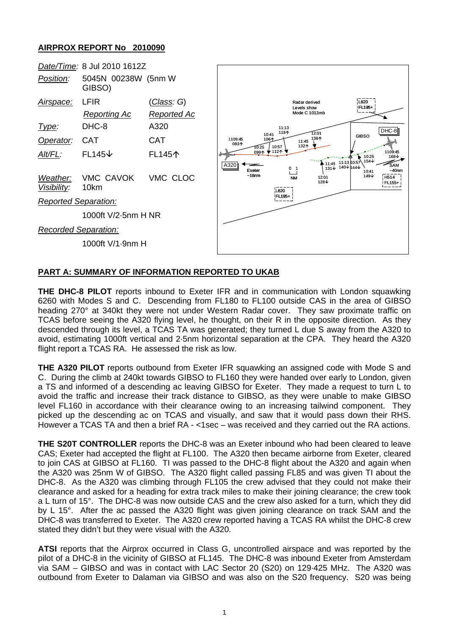## **AIRPROX REPORT No 2010090**



## **PART A: SUMMARY OF INFORMATION REPORTED TO UKAB**

**THE DHC-8 PILOT** reports inbound to Exeter IFR and in communication with London squawking 6260 with Modes S and C. Descending from FL180 to FL100 outside CAS in the area of GIBSO heading 270° at 340kt they were not under Western Radar cover. They saw proximate traffic on TCAS before seeing the A320 flying level, he thought, on their R in the opposite direction. As they descended through its level, a TCAS TA was generated; they turned L due S away from the A320 to avoid, estimating 1000ft vertical and 2·5nm horizontal separation at the CPA. They heard the A320 flight report a TCAS RA. He assessed the risk as low.

**THE A320 PILOT** reports outbound from Exeter IFR squawking an assigned code with Mode S and C. During the climb at 240kt towards GIBSO to FL160 they were handed over early to London, given a TS and informed of a descending ac leaving GIBSO for Exeter. They made a request to turn L to avoid the traffic and increase their track distance to GIBSO, as they were unable to make GIBSO level FL160 in accordance with their clearance owing to an increasing tailwind component. They picked up the descending ac on TCAS and visually, and saw that it would pass down their RHS. However a TCAS TA and then a brief RA - <1sec – was received and they carried out the RA actions.

**THE S20T CONTROLLER** reports the DHC-8 was an Exeter inbound who had been cleared to leave CAS; Exeter had accepted the flight at FL100. The A320 then became airborne from Exeter, cleared to join CAS at GIBSO at FL160. TI was passed to the DHC-8 flight about the A320 and again when the A320 was 25nm W of GIBSO. The A320 flight called passing FL85 and was given TI about the DHC-8. As the A320 was climbing through FL105 the crew advised that they could not make their clearance and asked for a heading for extra track miles to make their joining clearance; the crew took a L turn of 15°. The DHC-8 was now outside CAS and the crew also asked for a turn, which they did by L 15°. After the ac passed the A320 flight was given joining clearance on track SAM and the DHC-8 was transferred to Exeter. The A320 crew reported having a TCAS RA whilst the DHC-8 crew stated they didn't but they were visual with the A320.

**ATSI** reports that the Airprox occurred in Class G, uncontrolled airspace and was reported by the pilot of a DHC-8 in the vicinity of GIBSO at FL145. The DHC-8 was inbound Exeter from Amsterdam via SAM – GIBSO and was in contact with LAC Sector 20 (S20) on 129·425 MHz. The A320 was outbound from Exeter to Dalaman via GIBSO and was also on the S20 frequency. S20 was being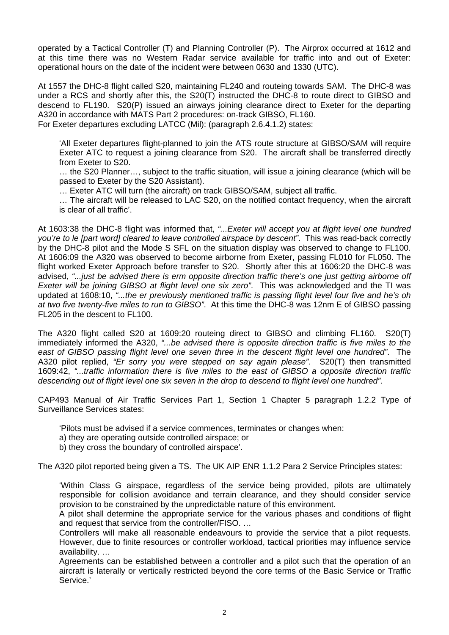operated by a Tactical Controller (T) and Planning Controller (P). The Airprox occurred at 1612 and at this time there was no Western Radar service available for traffic into and out of Exeter: operational hours on the date of the incident were between 0630 and 1330 (UTC).

At 1557 the DHC-8 flight called S20, maintaining FL240 and routeing towards SAM. The DHC-8 was under a RCS and shortly after this, the S20(T) instructed the DHC-8 to route direct to GIBSO and descend to FL190. S20(P) issued an airways joining clearance direct to Exeter for the departing A320 in accordance with MATS Part 2 procedures: on-track GIBSO, FL160.

For Exeter departures excluding LATCC (Mil): (paragraph 2.6.4.1.2) states:

'All Exeter departures flight-planned to join the ATS route structure at GIBSO/SAM will require Exeter ATC to request a joining clearance from S20. The aircraft shall be transferred directly from Exeter to S20.

… the S20 Planner…, subject to the traffic situation, will issue a joining clearance (which will be passed to Exeter by the S20 Assistant).

… Exeter ATC will turn (the aircraft) on track GIBSO/SAM, subject all traffic.

… The aircraft will be released to LAC S20, on the notified contact frequency, when the aircraft is clear of all traffic'.

At 1603:38 the DHC-8 flight was informed that, *"...Exeter will accept you at flight level one hundred you're to le [part word] cleared to leave controlled airspace by descent"*. This was read-back correctly by the DHC-8 pilot and the Mode S SFL on the situation display was observed to change to FL100. At 1606:09 the A320 was observed to become airborne from Exeter, passing FL010 for FL050. The flight worked Exeter Approach before transfer to S20. Shortly after this at 1606:20 the DHC-8 was advised, *"...just be advised there is erm opposite direction traffic there's one just getting airborne off Exeter will be joining GIBSO at flight level one six zero"*. This was acknowledged and the TI was updated at 1608:10, *"...the er previously mentioned traffic is passing flight level four five and he's oh at two five twenty-five miles to run to GIBSO"*. At this time the DHC-8 was 12nm E of GIBSO passing FL205 in the descent to FL100.

The A320 flight called S20 at 1609:20 routeing direct to GIBSO and climbing FL160. S20(T) immediately informed the A320, *"...be advised there is opposite direction traffic is five miles to the east of GIBSO passing flight level one seven three in the descent flight level one hundred"*. The A320 pilot replied, *"Er sorry you were stepped on say again please"*. S20(T) then transmitted 1609:42, *"...traffic information there is five miles to the east of GIBSO a opposite direction traffic descending out of flight level one six seven in the drop to descend to flight level one hundred"*.

CAP493 Manual of Air Traffic Services Part 1, Section 1 Chapter 5 paragraph 1.2.2 Type of Surveillance Services states:

'Pilots must be advised if a service commences, terminates or changes when:

- a) they are operating outside controlled airspace; or
- b) they cross the boundary of controlled airspace'.

The A320 pilot reported being given a TS. The UK AIP ENR 1.1.2 Para 2 Service Principles states:

'Within Class G airspace, regardless of the service being provided, pilots are ultimately responsible for collision avoidance and terrain clearance, and they should consider service provision to be constrained by the unpredictable nature of this environment.

A pilot shall determine the appropriate service for the various phases and conditions of flight and request that service from the controller/FISO. …

Controllers will make all reasonable endeavours to provide the service that a pilot requests. However, due to finite resources or controller workload, tactical priorities may influence service availability. …

Agreements can be established between a controller and a pilot such that the operation of an aircraft is laterally or vertically restricted beyond the core terms of the Basic Service or Traffic Service.'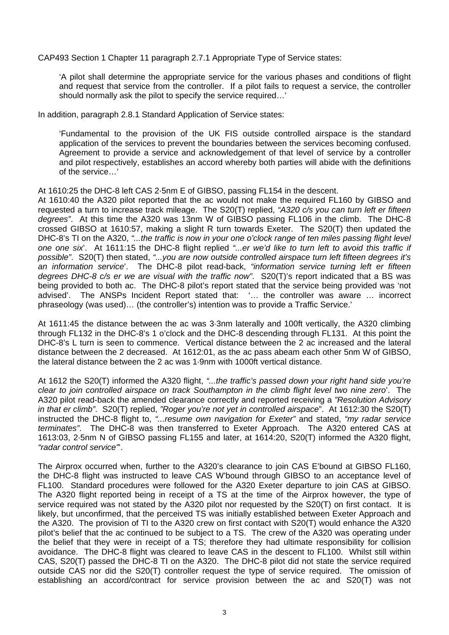CAP493 Section 1 Chapter 11 paragraph 2.7.1 Appropriate Type of Service states:

'A pilot shall determine the appropriate service for the various phases and conditions of flight and request that service from the controller. If a pilot fails to request a service, the controller should normally ask the pilot to specify the service required…'

In addition, paragraph 2.8.1 Standard Application of Service states:

'Fundamental to the provision of the UK FIS outside controlled airspace is the standard application of the services to prevent the boundaries between the services becoming confused. Agreement to provide a service and acknowledgement of that level of service by a controller and pilot respectively, establishes an accord whereby both parties will abide with the definitions of the service…'

At 1610:25 the DHC-8 left CAS 2·5nm E of GIBSO, passing FL154 in the descent.

At 1610:40 the A320 pilot reported that the ac would not make the required FL160 by GIBSO and requested a turn to increase track mileage. The S20(T) replied, *"A320 c/s you can turn left er fifteen degrees"*. At this time the A320 was 13nm W of GIBSO passing FL106 in the climb. The DHC-8 crossed GIBSO at 1610:57, making a slight R turn towards Exeter. The S20(T) then updated the DHC-8's TI on the A320, *"...the traffic is now in your one o'clock range of ten miles passing flight level one one six*'. At 1611:15 the DHC-8 flight replied *"...er we'd like to turn left to avoid this traffic if possible"*. S20(T) then stated, *"...you are now outside controlled airspace turn left fifteen degrees it's an information service*'. The DHC-8 pilot read-back, *"information service turning left er fifteen degrees DHC-8 c/s er we are visual with the traffic now"*. S20(T)'s report indicated that a BS was being provided to both ac. The DHC-8 pilot's report stated that the service being provided was 'not advised'. The ANSPs Incident Report stated that: '… the controller was aware … incorrect phraseology (was used)… (the controller's) intention was to provide a Traffic Service.'

At 1611:45 the distance between the ac was 3·3nm laterally and 100ft vertically, the A320 climbing through FL132 in the DHC-8's 1 o'clock and the DHC-8 descending through FL131. At this point the DHC-8's L turn is seen to commence. Vertical distance between the 2 ac increased and the lateral distance between the 2 decreased. At 1612:01, as the ac pass abeam each other 5nm W of GIBSO, the lateral distance between the 2 ac was 1·9nm with 1000ft vertical distance.

At 1612 the S20(T) informed the A320 flight, *"...the traffic's passed down your right hand side you're clear to join controlled airspace on track Southampton in the climb flight level two nine zero*'. The A320 pilot read-back the amended clearance correctly and reported receiving a *"Resolution Advisory in that er climb"*. S20(T) replied, *"Roger you're not yet in controlled airspace*". At 1612:30 the S20(T) instructed the DHC-8 flight to, *"...resume own navigation for Exeter"* and stated, *"my radar service terminates"*. The DHC-8 was then transferred to Exeter Approach. The A320 entered CAS at 1613:03, 2·5nm N of GIBSO passing FL155 and later, at 1614:20, S20(T) informed the A320 flight, *"radar control service"*'.

The Airprox occurred when, further to the A320's clearance to join CAS E'bound at GIBSO FL160, the DHC-8 flight was instructed to leave CAS W'bound through GIBSO to an acceptance level of FL100. Standard procedures were followed for the A320 Exeter departure to join CAS at GIBSO. The A320 flight reported being in receipt of a TS at the time of the Airprox however, the type of service required was not stated by the A320 pilot nor requested by the S20(T) on first contact. It is likely, but unconfirmed, that the perceived TS was initially established between Exeter Approach and the A320. The provision of TI to the A320 crew on first contact with S20(T) would enhance the A320 pilot's belief that the ac continued to be subject to a TS. The crew of the A320 was operating under the belief that they were in receipt of a TS; therefore they had ultimate responsibility for collision avoidance. The DHC-8 flight was cleared to leave CAS in the descent to FL100. Whilst still within CAS, S20(T) passed the DHC-8 TI on the A320. The DHC-8 pilot did not state the service required outside CAS nor did the S20(T) controller request the type of service required. The omission of establishing an accord/contract for service provision between the ac and S20(T) was not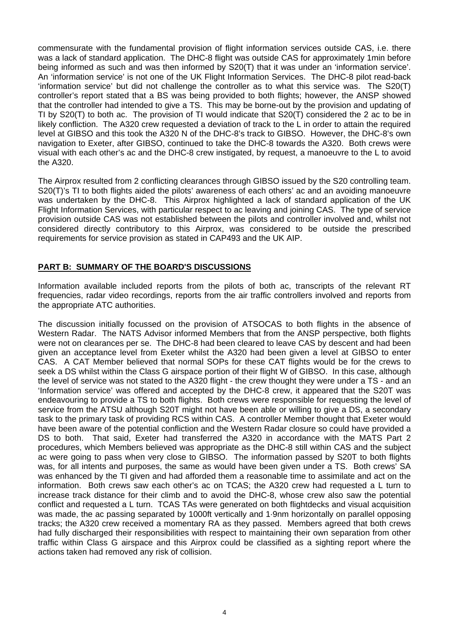commensurate with the fundamental provision of flight information services outside CAS, i.e. there was a lack of standard application. The DHC-8 flight was outside CAS for approximately 1min before being informed as such and was then informed by S20(T) that it was under an 'information service'. An 'information service' is not one of the UK Flight Information Services. The DHC-8 pilot read-back 'information service' but did not challenge the controller as to what this service was. The S20(T) controller's report stated that a BS was being provided to both flights; however, the ANSP showed that the controller had intended to give a TS. This may be borne-out by the provision and updating of TI by S20(T) to both ac. The provision of TI would indicate that S20(T) considered the 2 ac to be in likely confliction. The A320 crew requested a deviation of track to the L in order to attain the required level at GIBSO and this took the A320 N of the DHC-8's track to GIBSO. However, the DHC-8's own navigation to Exeter, after GIBSO, continued to take the DHC-8 towards the A320. Both crews were visual with each other's ac and the DHC-8 crew instigated, by request, a manoeuvre to the L to avoid the A320.

The Airprox resulted from 2 conflicting clearances through GIBSO issued by the S20 controlling team. S20(T)'s TI to both flights aided the pilots' awareness of each others' ac and an avoiding manoeuvre was undertaken by the DHC-8. This Airprox highlighted a lack of standard application of the UK Flight Information Services, with particular respect to ac leaving and joining CAS. The type of service provision outside CAS was not established between the pilots and controller involved and, whilst not considered directly contributory to this Airprox, was considered to be outside the prescribed requirements for service provision as stated in CAP493 and the UK AIP.

## **PART B: SUMMARY OF THE BOARD'S DISCUSSIONS**

Information available included reports from the pilots of both ac, transcripts of the relevant RT frequencies, radar video recordings, reports from the air traffic controllers involved and reports from the appropriate ATC authorities.

The discussion initially focussed on the provision of ATSOCAS to both flights in the absence of Western Radar. The NATS Advisor informed Members that from the ANSP perspective, both flights were not on clearances per se. The DHC-8 had been cleared to leave CAS by descent and had been given an acceptance level from Exeter whilst the A320 had been given a level at GIBSO to enter CAS. A CAT Member believed that normal SOPs for these CAT flights would be for the crews to seek a DS whilst within the Class G airspace portion of their flight W of GIBSO. In this case, although the level of service was not stated to the A320 flight - the crew thought they were under a TS - and an 'Information service' was offered and accepted by the DHC-8 crew, it appeared that the S20T was endeavouring to provide a TS to both flights. Both crews were responsible for requesting the level of service from the ATSU although S20T might not have been able or willing to give a DS, a secondary task to the primary task of providing RCS within CAS. A controller Member thought that Exeter would have been aware of the potential confliction and the Western Radar closure so could have provided a DS to both. That said, Exeter had transferred the A320 in accordance with the MATS Part 2 procedures, which Members believed was appropriate as the DHC-8 still within CAS and the subject ac were going to pass when very close to GIBSO. The information passed by S20T to both flights was, for all intents and purposes, the same as would have been given under a TS. Both crews' SA was enhanced by the TI given and had afforded them a reasonable time to assimilate and act on the information. Both crews saw each other's ac on TCAS; the A320 crew had requested a L turn to increase track distance for their climb and to avoid the DHC-8, whose crew also saw the potential conflict and requested a L turn. TCAS TAs were generated on both flightdecks and visual acquisition was made, the ac passing separated by 1000ft vertically and 1·9nm horizontally on parallel opposing tracks; the A320 crew received a momentary RA as they passed. Members agreed that both crews had fully discharged their responsibilities with respect to maintaining their own separation from other traffic within Class G airspace and this Airprox could be classified as a sighting report where the actions taken had removed any risk of collision.